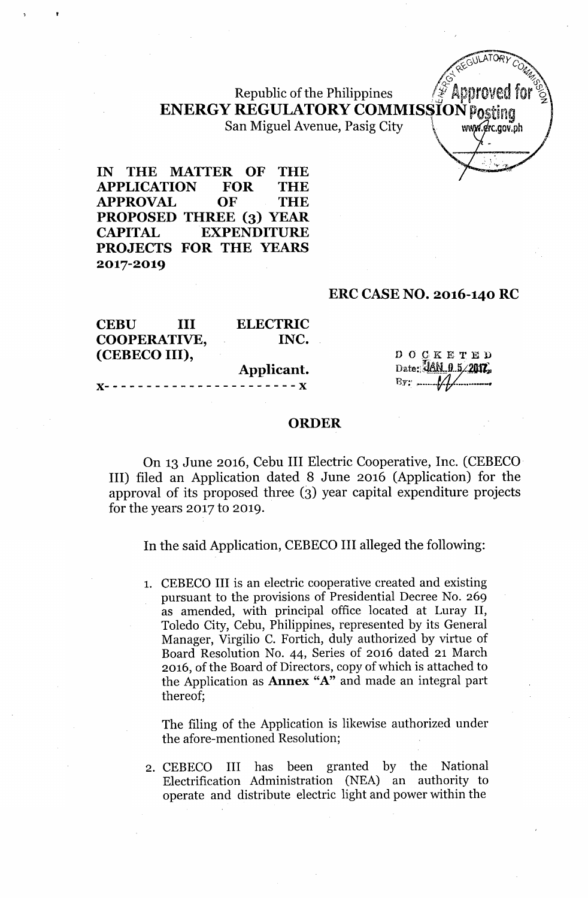## ENERGY REGULATORY COMMISSION Posting **Republic of the Philippines** San Miguel Avenue, Pasig City Www.grc.gov.ph

IN THE MATTER OF THE APPLICATION FOR THE APPROVAL OF THE PROPOSED THREE (3) YEAR CAPITAL EXPENDITURE PROJECTS FOR THE YEARS 2017-2019

#### ERC CASE NO. 2016-140 RC

| <b>CEBU</b>   | Ш | <b>ELECTRIC</b> |                          |
|---------------|---|-----------------|--------------------------|
| COOPERATIVE,  |   | INC.            |                          |
| (CEBECO III), |   |                 | DOCKETED                 |
|               |   | Applicant.      | Date: JAN 0 5/2017.      |
|               |   |                 | $\mathbf{B}$ y: $\qquad$ |

#### ORDER

On 13 June 2016, Cehu III Electric Cooperative, Inc. (CEBECO' III) filed an Application dated 8 June 2016 (Application) for the approval of its proposed three (3) year capital expenditure projects for the years 2017 to 2019.

In the said Application, CEBECO III alleged the following:

1. CEBECO III is an electric cooperative created and existing pursuant to the provisions of Presidential Decree No. 269 as amended, with principal office located at Luray II, Toledo City, Cebu, Philippines, represented by its General Manager, Virgilio C. Fortich, duly authorized by virtue of Board Resolution No. 44, Series of 2016 dated 21 March 2016, of the Board of Directors, copy of which is attached to the Application as Annex "A" and made an integral part thereof;

The filing of the Application is likewise authorized under the afore-mentioned Resolution;

2. CEBECO III has been granted by the National Electrification Administration (NEA) an authority to operate and distribute electric light and power within the

 $Z \in G$ ULATORY C<sub>O</sub> --\... ...%  $\frac{1}{2}$   $\frac{1}{2}$   $\frac{1}{2}$   $\frac{1}{2}$   $\frac{1}{2}$   $\frac{1}{2}$   $\frac{1}{2}$   $\frac{1}{2}$   $\frac{1}{2}$   $\frac{1}{2}$   $\frac{1}{2}$   $\frac{1}{2}$   $\frac{1}{2}$   $\frac{1}{2}$   $\frac{1}{2}$   $\frac{1}{2}$   $\frac{1}{2}$   $\frac{1}{2}$   $\frac{1}{2}$   $\frac{1}{2}$   $\frac{1}{2}$   $\frac{1}{2}$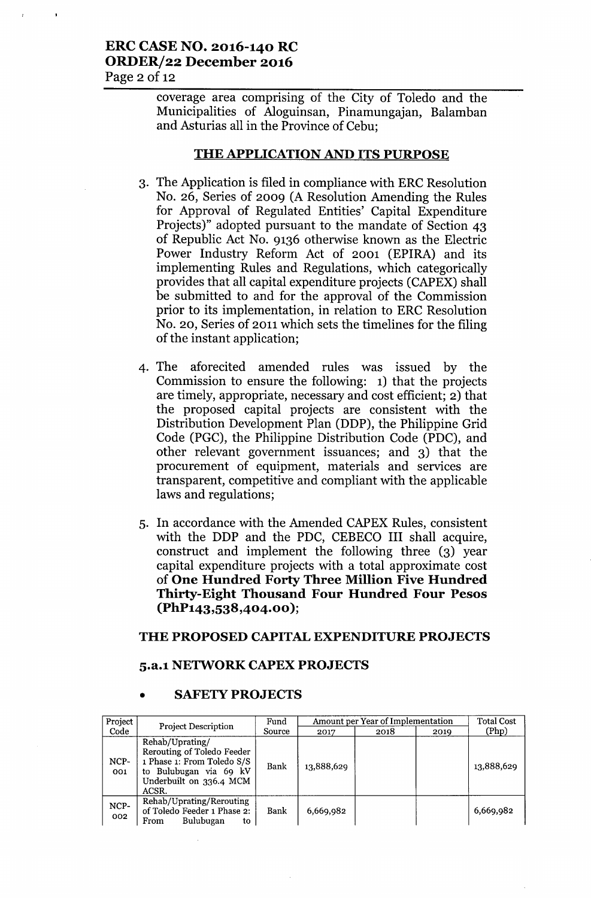#### ERC CASE NO. 2016-140 RC ORDER/22 December 2016 Page  $2$  of 12

coverage area comprising of the City of Toledo and the Municipalities of Aloguinsan, Pinamungajan, Balamban and Asturias all in the Province of Cebu;

#### THE APPLICATION AND ITS PURPOSE

- 3. The Application is filed in compliance with ERC Resolution No. 26, Series of 2009 (A Resolution Amending the Rules for Approval of Regulated Entities' Capital Expenditure Projects)" adopted pursuant to the mandate of Section 43 of Republic Act No. 9136 otherwise known as the Electric Power Industry Reform Act of 2001 (EPIRA) and its implementing Rules and Regulations, which categorically provides that all capital expenditure projects (CAPEX) shall be submitted to and for the approval of the Commission prior to its implementation, in relation to ERC Resolution No. 20, Series of 2011 which sets the timelines for the filing of the instant application;
- 4. The aforecited amended rules was issued by the Commission to ensure the following: 1) that the projects are timely, appropriate, necessary and cost efficient; 2) that the proposed capital projects are consistent with the Distribution Development Plan (DDP), the Philippine Grid Code (PGC), the Philippine Distribution Code (PDC), and other relevant government issuances; and 3) that the procurement of equipment, materials and services are transparent, competitive and compliant with the applicable laws and regulations;
- 5. In accordance with the Amended CAPEX Rules, consistent with the DDP and the PDC, CEBECO III shall acquire, construct and implement the following three (3) year capital expenditure projects with a total approximate cost of One Hundred Forty Three Million Five Hundred Thirty-Eight Thousand Four Hundred Four Pesos (PhP143,538,404.00 );

#### THE PROPOSED CAPITAL EXPENDITURE PROJECTS

#### 5.a.l NETWORK CAPEX PROJECTS

| Project     | <b>Project Description</b>                                                                                                                | Fund   | Amount per Year of Implementation | <b>Total Cost</b> |      |            |
|-------------|-------------------------------------------------------------------------------------------------------------------------------------------|--------|-----------------------------------|-------------------|------|------------|
| Code        |                                                                                                                                           | Source | 2017                              | 2018              | 2019 | (Php)      |
| NCP-<br>001 | Rehab/Uprating/<br>Rerouting of Toledo Feeder<br>1 Phase 1: From Toledo S/S<br>to Bulubugan via 69 kV<br>Underbuilt on 336.4 MCM<br>ACSR. | Bank   | 13,888,629                        |                   |      | 13,888,629 |
| NCP-<br>002 | Rehab/Uprating/Rerouting<br>of Toledo Feeder 1 Phase 2:<br>Bulubugan<br>From<br>to                                                        | Bank   | 6,669,982                         |                   |      | 6,669,982  |

#### **SAFETY PROJECTS**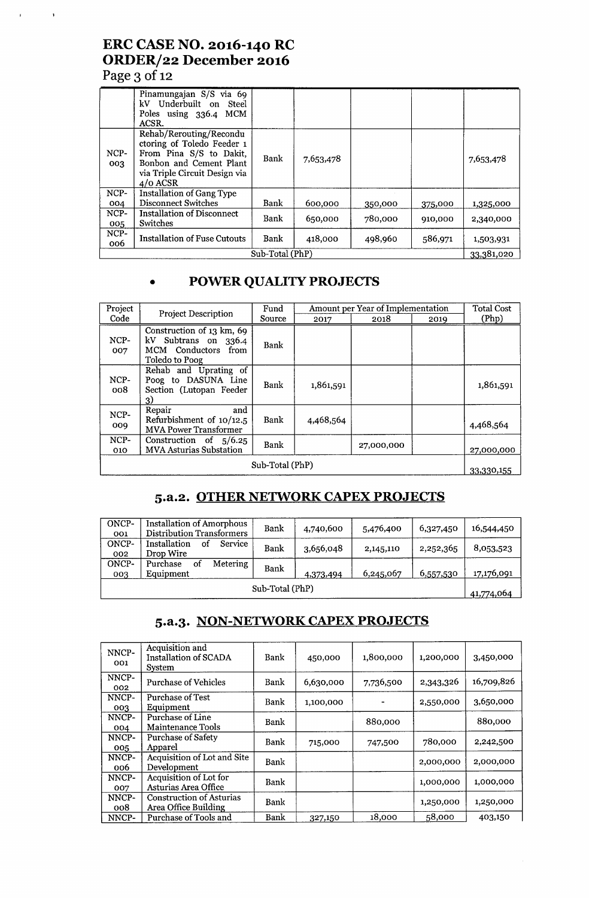## **ERC CASE NO. 2016-140 RC ORDER/22 December 2016 Page 3** of 12

 $\mathbf{r}$ 

 $\sim 3$ 

|                 | Pinamungajan S/S via 69<br>kV Underbuilt on Steel<br>Poles using 336.4 MCM<br>ACSR.                                                                        |      |           |         |         |            |
|-----------------|------------------------------------------------------------------------------------------------------------------------------------------------------------|------|-----------|---------|---------|------------|
| NCP-<br>003     | Rehab/Rerouting/Recondu<br>ctoring of Toledo Feeder 1<br>From Pina S/S to Dakit,<br>Bonbon and Cement Plant<br>via Triple Circuit Design via<br>$4/0$ ACSR | Bank | 7,653,478 |         |         | 7,653,478  |
| NCP-            | <b>Installation of Gang Type</b>                                                                                                                           |      |           |         |         |            |
| 004             | <b>Disconnect Switches</b>                                                                                                                                 | Bank | 600,000   | 350,000 | 375,000 | 1,325,000  |
| NCP-<br>005     | <b>Installation of Disconnect</b><br>Switches                                                                                                              | Bank | 650,000   | 780,000 | 910,000 | 2,340,000  |
| NCP-<br>006     | Installation of Fuse Cutouts                                                                                                                               | Bank | 418,000   | 498,960 | 586,971 | 1,503,931  |
| Sub-Total (PhP) |                                                                                                                                                            |      |           |         |         | 33,381,020 |

# **• POWER QUALITY PROJECTS**

| Project<br>Code | <b>Project Description</b>                                                                 | Fund<br>Source | 2017      | Amount per Year of Implementation<br>2018 | 2019       | <b>Total Cost</b><br>(Php) |
|-----------------|--------------------------------------------------------------------------------------------|----------------|-----------|-------------------------------------------|------------|----------------------------|
| NCP-<br>007     | Construction of 13 km, 69<br>kV Subtrans on 336.4<br>MCM Conductors from<br>Toledo to Poog | Bank           |           |                                           |            |                            |
| NCP-<br>008     | Rehab and Uprating of<br>Poog to DASUNA Line<br>Section (Lutopan Feeder<br>3)              | Bank           | 1,861,591 |                                           |            | 1,861,591                  |
| NCP-<br>009     | Repair<br>and<br>Refurbishment of $10/12.5$<br><b>MVA Power Transformer</b>                | Bank           | 4,468,564 |                                           |            | 4,468,564                  |
| $NCP-$<br>010   | Construction of $5/6.25$<br><b>MVA Asturias Substation</b>                                 | Bank           |           | 27,000,000                                |            | 27,000,000                 |
| Sub-Total (PhP) |                                                                                            |                |           |                                           | 33,330,155 |                            |

## **5.a.2. OTHER NETWORK CAPEX PROJECTS**

| ONCP-<br>001    | Installation of Amorphous<br>Distribution Transformers | Bank | 4,740,600 | 5,476,400 | 6,327,450  | 16,544,450 |
|-----------------|--------------------------------------------------------|------|-----------|-----------|------------|------------|
| ONCP-<br>002    | Installation<br><b>Service</b><br>οt<br>Drop Wire      | Bank | 3,656,048 | 2,145,110 | 2,252,365  | 8,053,523  |
| ONCP-<br>003    | <b>Metering</b><br>Purchase<br>οt<br>Equipment         | Bank | 4,373,494 | 6,245,067 | 6,557,530  | 17,176,091 |
| Sub-Total (PhP) |                                                        |      |           |           | 41,774,064 |            |

## **5.a.3. NON-NETWORK CAPEX PROJECTS**

| NNCP-<br>001 | Acquisition and<br>Installation of SCADA<br>System      | Bank | 450,000   | 1,800,000 | 1,200,000 | 3,450,000  |
|--------------|---------------------------------------------------------|------|-----------|-----------|-----------|------------|
| NNCP-<br>002 | Purchase of Vehicles                                    | Bank | 6,630,000 | 7,736,500 | 2,343,326 | 16,709,826 |
| NNCP-<br>003 | <b>Purchase of Test</b><br>Equipment                    | Bank | 1,100,000 |           | 2,550,000 | 3,650,000  |
| NNCP-<br>004 | Purchase of Line<br>Maintenance Tools                   | Bank |           | 880,000   |           | 880,000    |
| NNCP-<br>005 | <b>Purchase of Safety</b><br>Apparel                    | Bank | 715,000   | 747,500   | 780,000   | 2,242,500  |
| NNCP-<br>006 | Acquisition of Lot and Site<br>Development              | Bank |           |           | 2,000,000 | 2,000,000  |
| NNCP-<br>007 | Acquisition of Lot for<br>Asturias Area Office          | Bank |           |           | 1,000,000 | 1,000,000  |
| NNCP-<br>008 | <b>Construction of Asturias</b><br>Area Office Building | Bank |           |           | 1,250,000 | 1,250,000  |
| NNCP-        | Purchase of Tools and                                   | Bank | 327,150   | 18,000    | 58,000    | 403,150    |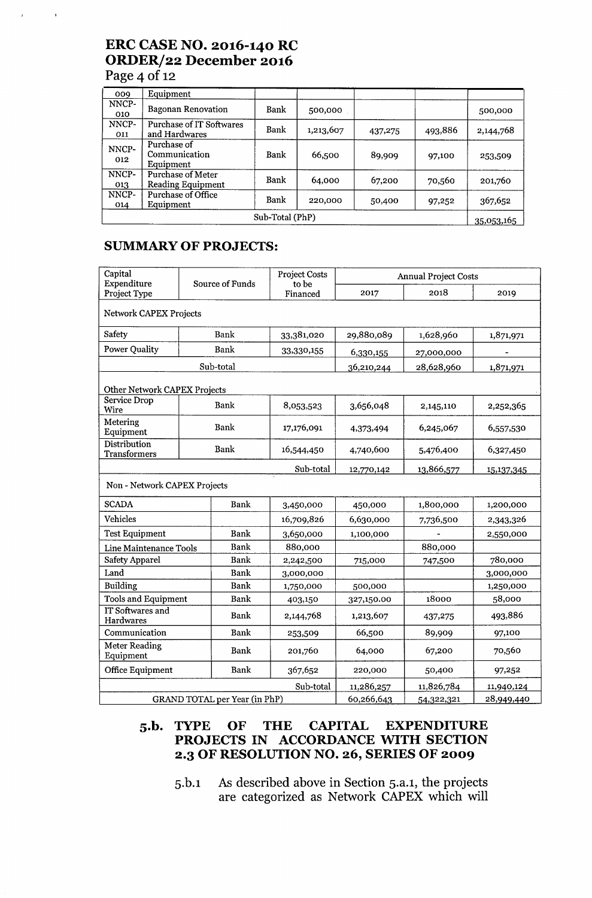## **ERC CASE NO. 2016-140 RC ORDER/22 December 2016 Page 4** of 12

 $\overline{1}$ 

 $\bar{\mathbf{r}}$ 

| 009             | Equipment                                     |      |           |         |            |           |
|-----------------|-----------------------------------------------|------|-----------|---------|------------|-----------|
| NNCP-<br>010    | <b>Bagonan Renovation</b>                     | Bank | 500,000   |         |            | 500,000   |
| NNCP-<br>011    | Purchase of IT Softwares<br>and Hardwares     | Bank | 1,213,607 | 437,275 | 493,886    | 2,144,768 |
| NNCP-<br>012    | Purchase of<br>Communication<br>Equipment     | Bank | 66,500    | 89,909  | 97,100     | 253,509   |
| NNCP-<br>013    | Purchase of Meter<br><b>Reading Equipment</b> | Bank | 64,000    | 67,200  | 70,560     | 201,760   |
| NNCP-<br>014    | Purchase of Office<br>Equipment               | Bank | 220,000   | 50,400  | 97,252     | 367,652   |
| Sub-Total (PhP) |                                               |      |           |         | 35,053,165 |           |

## **SUMMARY OF PROJECTS:**

| Capital<br>Expenditure              | Source of Funds |             | Project Costs<br>to be | <b>Annual Project Costs</b> |            |            |  |
|-------------------------------------|-----------------|-------------|------------------------|-----------------------------|------------|------------|--|
| Project Type                        |                 |             | Financed               | 2017                        | 2018       | 2019       |  |
| <b>Network CAPEX Projects</b>       |                 |             |                        |                             |            |            |  |
| Safety                              |                 | Bank        | 33,381,020             | 29,880,089                  | 1,628,960  | 1,871,971  |  |
| <b>Power Quality</b>                |                 | Bank        | 33,330,155             | 6,330,155                   | 27,000,000 |            |  |
|                                     |                 | Sub-total   |                        | 36,210,244                  | 28,628,960 | 1,871,971  |  |
| <b>Other Network CAPEX Projects</b> |                 |             |                        |                             |            |            |  |
| Service Drop<br>Wire                |                 | Bank        | 8,053,523              | 3,656,048                   | 2,145,110  | 2,252,365  |  |
| Metering<br>Equipment               |                 | <b>Bank</b> | 17,176,091             | 4,373,494                   | 6,245,067  | 6,557,530  |  |
| Distribution<br><b>Transformers</b> | Bank            |             | 16,544,450             | 4,740,600                   | 5,476,400  | 6,327,450  |  |
|                                     |                 |             | Sub-total              | 12,770,142                  | 13,866,577 | 15,137,345 |  |
| Non - Network CAPEX Projects        |                 |             |                        |                             |            |            |  |
| <b>SCADA</b>                        |                 | Bank        | 3,450,000              | 450,000                     | 1,800,000  | 1,200,000  |  |
| <b>Vehicles</b>                     |                 |             | 16,709,826             | 6,630,000                   | 7,736,500  | 2,343,326  |  |
| <b>Test Equipment</b>               |                 | <b>Bank</b> | 3,650,000              | 1,100,000                   |            | 2,550,000  |  |
| <b>Line Maintenance Tools</b>       |                 | Bank        | 880,000                |                             | 880,000    |            |  |
| <b>Safety Apparel</b>               |                 | <b>Bank</b> | 2,242,500              | 715,000                     | 747,500    | 780,000    |  |
| Land                                |                 | Bank        | 3,000,000              |                             |            | 3,000,000  |  |
| Building                            |                 | <b>Bank</b> | 1,750,000              | 500,000                     |            | 1,250,000  |  |
| <b>Tools and Equipment</b>          |                 | Bank        | 403,150                | 327,150.00                  | 18000      | 58,000     |  |
| IT Softwares and<br>Hardwares       |                 | Bank        | 2,144,768              | 1,213,607                   | 437,275    | 493,886    |  |
| Communication                       |                 | <b>Bank</b> | 253,509                | 66,500                      | 89,909     | 97,100     |  |
| <b>Meter Reading</b><br>Equipment   |                 | <b>Bank</b> | 201,760                | 64,000                      | 67,200     | 70,560     |  |
| Office Equipment                    |                 | <b>Bank</b> | 367,652                | 220,000                     | 50,400     | 97,252     |  |
|                                     |                 |             | Sub-total              | 11,286,257                  | 11,826,784 | 11,940,124 |  |
| GRAND TOTAL per Year (in PhP)       |                 |             | 60,266,643             | 54,322,321                  | 28,949,440 |            |  |

#### **S.b. TYPE OF THE CAPITAL EXPENDITURE PROJECTS IN ACCORDANCE WITH SECTION 2.3 OF RESOLUTION NO. 26, SERIES OF 2009**

**S.b.l** As **described above in Section S.a.l, the projects are categorized as Network CAPEX which will**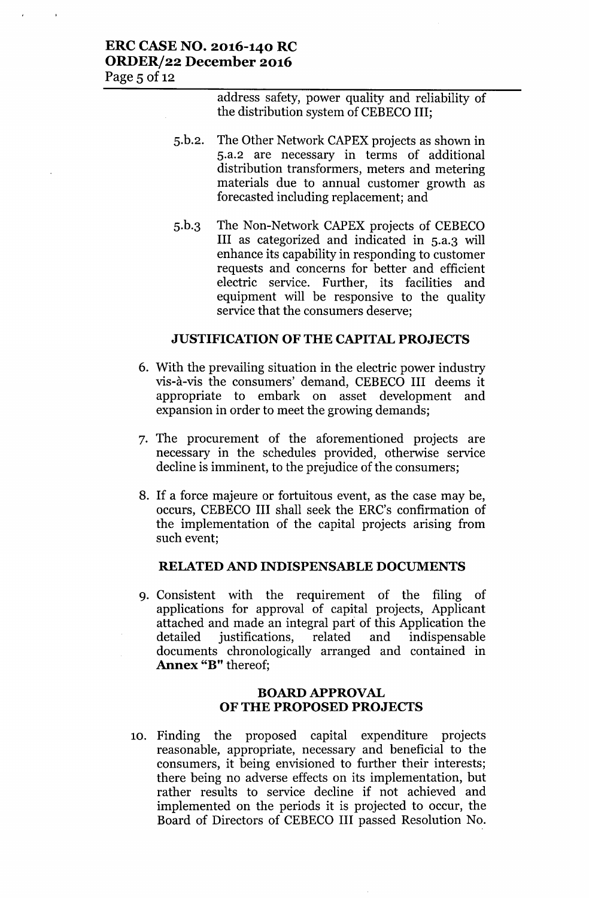#### ERC CASE NO. 2016-140 RC ORDER/22 December 2016 Page 5 of 12

address safety, power quality and reliability of the distribution system of CEBECO III;

- 5.b.2. The Other Network CAPEX projects as shown in 5.a.2 are necessary in terms of additional distribution transformers, meters and metering materials due to annual customer growth as forecasted including replacement; and
- 5.b.3 The Non-Network CAPEX projects of CEBECO III as categorized and indicated in 5.a.3 will enhance its capability in responding to customer requests and concerns for better and efficient electric service. Further, its facilities and equipment will be responsive to the quality service that the consumers deserve;

#### JUSTIFICATION OF THE CAPITAL PROJECTS

- 6. With the prevailing situation in the electric power industry vis-à-vis the consumers' demand, CEBECO III deems it appropriate to embark on asset development and expansion in order to meet the growing demands;
- 7. The procurement of the aforementioned projects are necessary in the schedules provided, otherwise service decline is imminent, to the prejudice of the consumers;
- 8. If a force majeure or fortuitous event, as the case may be, occurs, CEBECO III shall seek the ERC's confirmation of the implementation of the capital projects arising from such event;

#### RELATED AND INDISPENSABLE DOCUMENTS

9. Consistent with the requirement of the filing of applications for approval of capital projects, Applicant attached and made an integral part of this Application the detailed justifications, related and indispensable documents chronologically arranged and contained in Annex "B" thereof;

#### BOARD APPROVAL OF THE PROPOSED PROJECTS

10. Finding the proposed capital expenditure projects reasonable, appropriate, necessary and beneficial to the consumers, it being envisioned to further their interests; there being no adverse effects on its implementation, but rather results to service decline if not achieved and implemented on the periods it is projected to occur, the Board of Directors of CEBECO III passed Resolution No.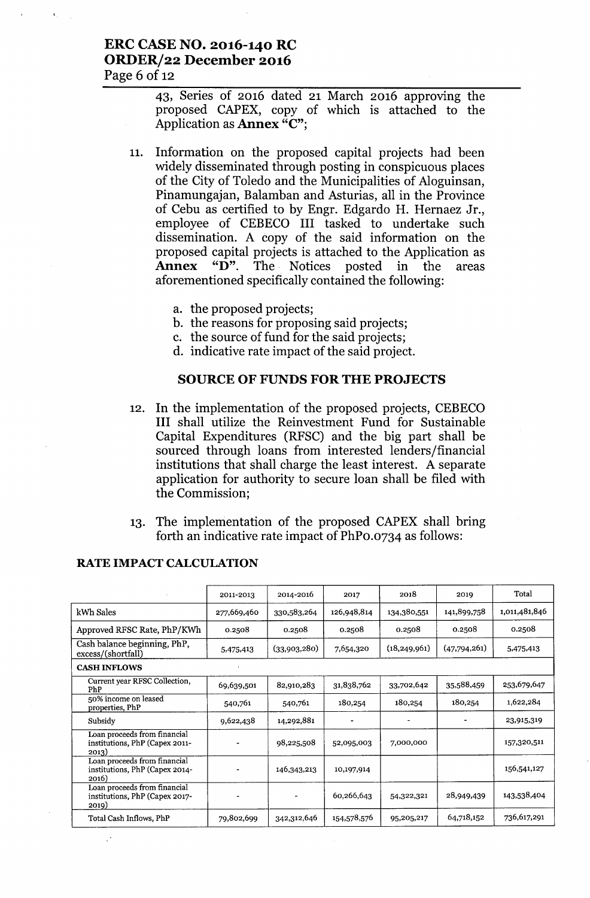#### ERC CASE NO. 2016-140 RC ORDER/22 December 2016 Page  $6$  of 12

43, Series of 2016 dated 21 March 2016 approving the proposed CAPEX, copy of which is attached to the Application as Annex "C";

- 11. Information on the proposed capital projects had been widely disseminated through posting in conspicuous places of the City of Toledo and the Municipalities of Aloguinsan, Pinamungajan, Balamban and Asturias, all in the Province of Cebu as certified to by Engr. Edgardo H. Hernaez Jr., employee of CEBECO III tasked to undertake such dissemination. A copy of the said information on the proposed capital projects is attached to the Application as Annex "D". The Notices posted in the areas aforementioned specifically contained the following:
	- a. the proposed projects;
	- b. the reasons for proposing said projects;
	- c. the source of fund for the said projects;
	- d. indicative rate impact of the said project.

#### SOURCE OF FUNDS FOR THE PROJECTS

- 12. In the implementation of the proposed projects, CEBECO III shall utilize the Reinvestment Fund for Sustainable Capital Expenditures (RFSC) and the big part shall be sourced through loans from interested lenders/financial institutions that shall charge the least interest. A separate application for authority to secure loan shall be filed with the Commission;
- 13. The implementation of the proposed CAPEX shall bring forth an indicative rate impact of PhPo.0734 as follows:

|                                                                         | 2011-2013   | 2014-2016    | 2017        | 2018           | 2019         | Total         |
|-------------------------------------------------------------------------|-------------|--------------|-------------|----------------|--------------|---------------|
| kWh Sales                                                               | 277,669,460 | 330,583,264  | 126,948,814 | 134,380,551    | 141,899,758  | 1,011,481,846 |
| Approved RFSC Rate, PhP/KWh                                             | 0.2508      | 0.2508       | 0.2508      | 0.2508         | 0.2508       | 0.2508        |
| Cash balance beginning, PhP,<br>excess/(shortfall)                      | 5,475,413   | (33,903,280) | 7,654,320   | (18, 249, 961) | (47,794,261) | 5,475,413     |
| <b>CASH INFLOWS</b>                                                     |             |              |             |                |              |               |
| Current year RFSC Collection,<br>PhP                                    | 69,639,501  | 82,910,283   | 31,838,762  | 33,702,642     | 35,588,459   | 253,679,647   |
| 50% income on leased<br>properties, PhP                                 | 540,761     | 540,761      | 180,254     | 180,254        | 180,254      | 1,622,284     |
| Subsidy                                                                 | 9,622,438   | 14,292,881   |             |                |              | 23,915,319    |
| Loan proceeds from financial<br>institutions, PhP (Capex 2011-<br>2013) |             | 98,225,508   | 52,095,003  | 7,000,000      |              | 157,320,511   |
| Loan proceeds from financial<br>institutions, PhP (Capex 2014-<br>2016) |             | 146,343,213  | 10,197,914  |                |              | 156,541,127   |
| Loan proceeds from financial<br>institutions, PhP (Capex 2017-<br>2019) |             |              | 60,266,643  | 54,322,321     | 28,949,439   | 143,538,404   |
| Total Cash Inflows, PhP                                                 | 79,802,699  | 342,312,646  | 154,578,576 | 95,205,217     | 64,718,152   | 736,617,291   |

#### RATE IMPACT CALCULATION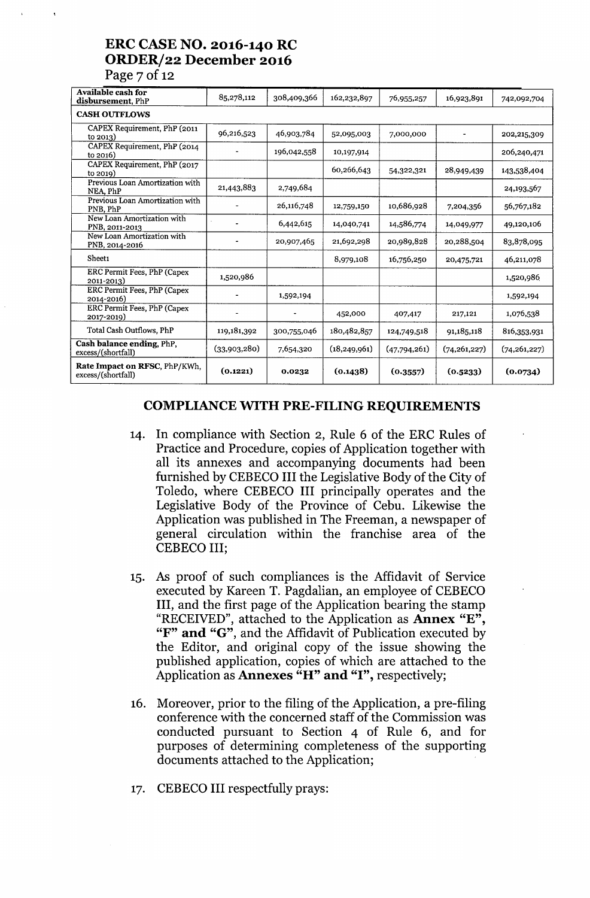### **ERC CASE NO. 2016-140 RC ORDERJ22 December 2016** Page  $7$  of 12

| <b>Available cash for</b><br>disbursement, PhP             | 85,278,112   | 308,409,366 | 162,232,897    | 76,955,257   | 16,923,891     | 742,092,704    |
|------------------------------------------------------------|--------------|-------------|----------------|--------------|----------------|----------------|
| <b>CASH OUTFLOWS</b>                                       |              |             |                |              |                |                |
| CAPEX Requirement, PhP (2011)<br>to $2013$ )               | 96,216,523   | 46,903,784  | 52,095,003     | 7,000,000    |                | 202,215,309    |
| CAPEX Requirement, PhP (2014)<br>to $2016$                 |              | 196,042,558 | 10,197,914     |              |                | 206,240,471    |
| CAPEX Requirement, PhP (2017<br>to 2019)                   |              |             | 60,266,643     | 54,322,321   | 28,949,439     | 143,538,404    |
| Previous Loan Amortization with<br>NEA. PhP                | 21,443,883   | 2,749,684   |                |              |                | 24, 193, 567   |
| Previous Loan Amortization with<br>PNB, PhP                |              | 26,116,748  | 12,759,150     | 10,686,928   | 7,204,356      | 56,767,182     |
| New Loan Amortization with<br>PNB, 2011-2013               |              | 6,442,615   | 14,040,741     | 14,586,774   | 14,049,977     | 49,120,106     |
| New Loan Amortization with<br>PNB, 2014-2016               |              | 20,907,465  | 21,692,298     | 20,989,828   | 20,288,504     | 83,878,095     |
| Sheet1                                                     |              |             | 8,979,108      | 16,756,250   | 20,475,721     | 46,211,078     |
| ERC Permit Fees, PhP (Capex<br>2011-2013)                  | 1,520,986    |             |                |              |                | 1,520,986      |
| ERC Permit Fees, PhP (Capex<br>2014-2016)                  |              | 1,592,194   |                |              |                | 1,592,194      |
| ERC Permit Fees, PhP (Capex<br>2017-2019)                  |              |             | 452,000        | 407,417      | 217,121        | 1,076,538      |
| Total Cash Outflows, PhP                                   | 119,181,392  | 300,755,046 | 180,482,857    | 124,749,518  | 91,185,118     | 816,353,931    |
| Cash balance ending, PhP.<br>excess/(shortfall)            | (33,903,280) | 7,654,320   | (18, 249, 961) | (47,794,261) | (74, 261, 227) | (74, 261, 227) |
| <b>Rate Impact on RFSC, PhP/KWh,</b><br>excess/(shortfall) | (0.1221)     | 0.0232      | (0.1438)       | (0.3557)     | (0.5233)       | (0.0734)       |

#### **COMPLIANCE WITH PRE-FILING REQUIREMENTS**

- 14. In compliance with Section 2, Rule 6 of the ERC Rules of Practice and Procedure, copies of Application together with all its annexes and accompanying documents had been furnished by CEBECO III the Legislative Body of the City of Toledo, where CEBECO III principally operates and the Legislative Body of the Province of Cebu. Likewise the Application was published in The Freeman, a newspaper of general circulation within the franchise area of the CEBECO III;
- 15. As proof of such compliances is the Affidavit of Service executed by Kareen T. Pagdalian, an employee of CEBECO III, and the first page of the Application bearing the stamp "RECEIVED", attached to the Application as Annex "E", "F" **and** "G", and the Affidavit of Publication executed by the Editor, and original copy of the issue showing the published application, copies of which are attached to the Application as Annexes "H" **and** "I", respectively;
- 16. Moreover, prior to the filing of the Application, a pre-filing conference with the concerned staff of the Commission was conducted pursuant to Section 4 of Rule 6, and for purposes of determining completeness of the supporting documents attached to the Application;
- 17. CEBECO III respectfully prays: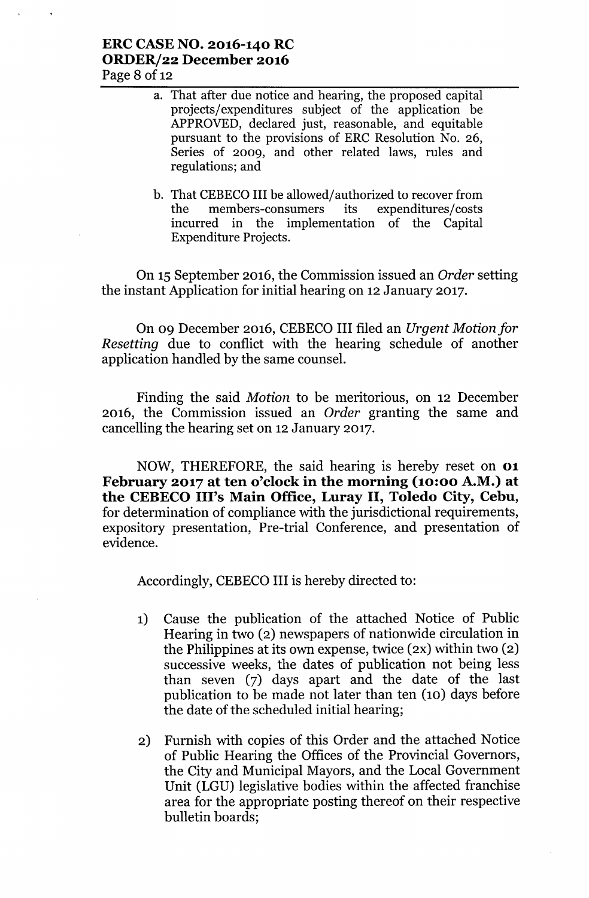### ERC CASENO. 2016-140 RC ORDER/22 December 2016 Page 8 of 12

- a. That after due notice and hearing, the proposed capital projects/expenditures subject of the application be APPROVED, declared just, reasonable, and equitable pursuant to the provisions of ERC Resolution No. 26, Series of 2009, and other related laws, rules and regulations; and
- b. That CEBECO III be allowed/authorized to recover from<br>the members-consumers its expenditures/costs the members-consumers incurred in the implementation of the Capital Expenditure Projects.

On 15 September 2016, the Commission issued an *Order* setting the instant Application for initial hearing on 12 January 2017.

On 09 December 2016, CEBECO III filed an *Urgent Motion for Resetting* due to conflict with the hearing schedule of another application handled by the same counsel.

Finding the said *Motion* to be meritorious, on 12 December 2016, the Commission issued an *Order* granting the same and cancelling the hearing set on 12 January 2017.

NOW, THEREFORE, the said hearing is hereby reset on 01 February 2017 at ten o'clock in the morning (10:00 A.M.) at the CEBECO Ill's Main Office, Luray II, Toledo City, Cebu, for determination of compliance with the jurisdictional requirements, expository presentation, Pre-trial Conference, and presentation of evidence.

Accordingly, CEBECO III is hereby directed to:

- 1) Cause the publication of the attached Notice of Public Hearing in two (2) newspapers of nationwide circulation in the Philippines at its own expense, twice (2X) within two (2) successive weeks, the dates of publication not being less than seven (7) days apart and the date of the last publication to be made not later than ten (10) days before the date of the scheduled initial hearing;
- 2) Furnish with copies of this Order and the attached Notice of Public Hearing the Offices of the Provincial Governors, the City and Municipal Mayors, and the Local Government Unit (LGU) legislative bodies within the affected franchise area for the appropriate posting thereof on their respective bulletin boards;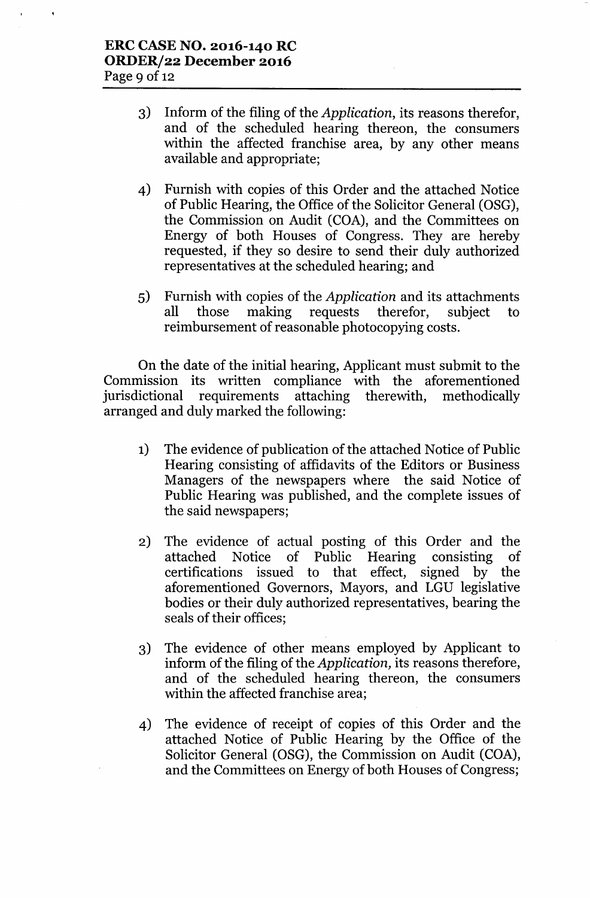- 3) Inform of the filing of the *Application,* its reasons therefor, and of the scheduled hearing thereon, the consumers within the affected franchise area, by any other means available and appropriate;
- 4) Furnish with copies of this Order and the attached Notice of Public Hearing, the Office of the Solicitor General (OSG), the Commission on Audit (COA), and the Committees on Energy of both Houses of Congress. They are hereby requested, if they so desire to send their duly authorized representatives at the scheduled hearing; and
- 5) Furnish with copies of the *Application* and its attachments all those making requests therefor, subject to reimbursement of reasonable photocopying costs.

On the date of the initial hearing, Applicant must submit to the Commission its written compliance with the aforementioned jurisdictional requirements attaching therewith, methodically arranged and duly marked the following:

- 1) The evidence of publication of the attached Notice of Public Hearing consisting of affidavits of the Editors or Business Managers of the newspapers where the said Notice of Public Hearing was published, and the complete issues of the said newspapers;
- 2) The evidence of actual posting of this Order and the attached Notice of Public Hearing consisting of certifications issued to that effect, signed by the aforementioned Governors, Mayors, and LGU legislative bodies or their duly authorized representatives, bearing the seals of their offices;
- 3) The evidence of other means employed by Applicant to inform of the filing of the *Application,* its reasons therefore, and of the scheduled hearing thereon, the consumers within the affected franchise area;
- 4) The evidence of receipt of copies of this Order and the attached Notice of Public Hearing by the Office of the Solicitor General (OSG), the Commission on Audit (COA), and the Committees on Energy of both Houses of Congress;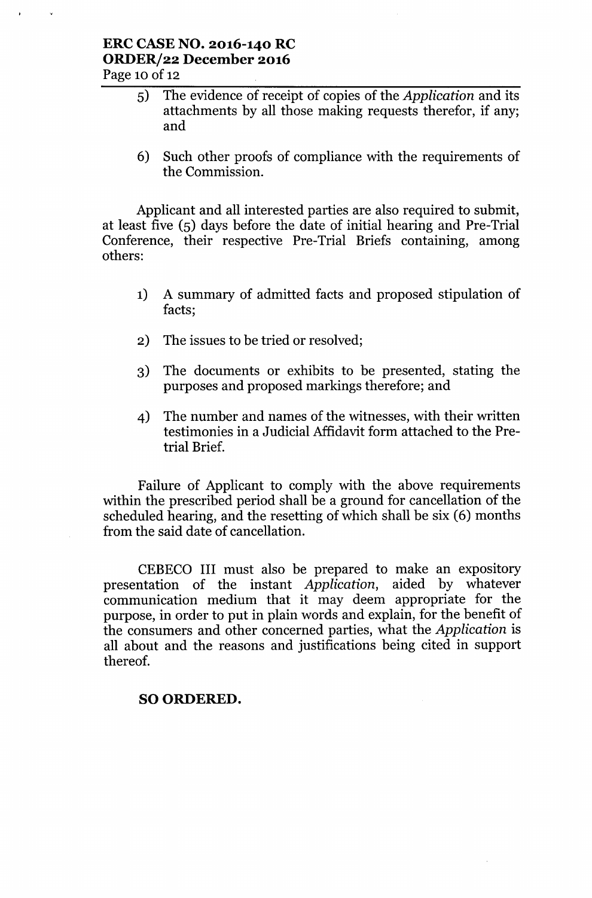#### **ERC CASE NO. 2016-140 RC ORDER/22 December 2016** Page 10 of 12

- 5) The evidence of receipt of copies of the *Application* and its attachments by all those making requests therefor, if any; and
- 6) Such other proofs of compliance with the requirements of the Commission.

Applicant and all interested parties are also required to submit, at least five (5) days before the date of initial hearing and Pre-Trial Conference, their respective Pre-Trial Briefs containing, among others:

- 1) A summary of admitted facts and proposed stipulation of facts;
- 2) The issues to be tried or resolved;
- 3) The documents or exhibits to be presented, stating the purposes and proposed markings therefore; and
- 4) The number and names of the witnesses, with their written testimonies in a Judicial Affidavit form attached to the Pretrial Brief.

Failure of Applicant to comply with the above requirements within the prescribed period shall be a ground for cancellation of the scheduled hearing, and the resetting of which shall be six (6) months from the said date of cancellation.

CEBECO III must also be prepared to make an expository presentation of the instant *Application,* aided by whatever communication medium that it may deem appropriate for the purpose, in order to put in plain words and explain, for the benefit of the consumers and other concerned parties, what the *Application* is all about and the reasons and justifications being cited in support thereof.

### SO ORDERED.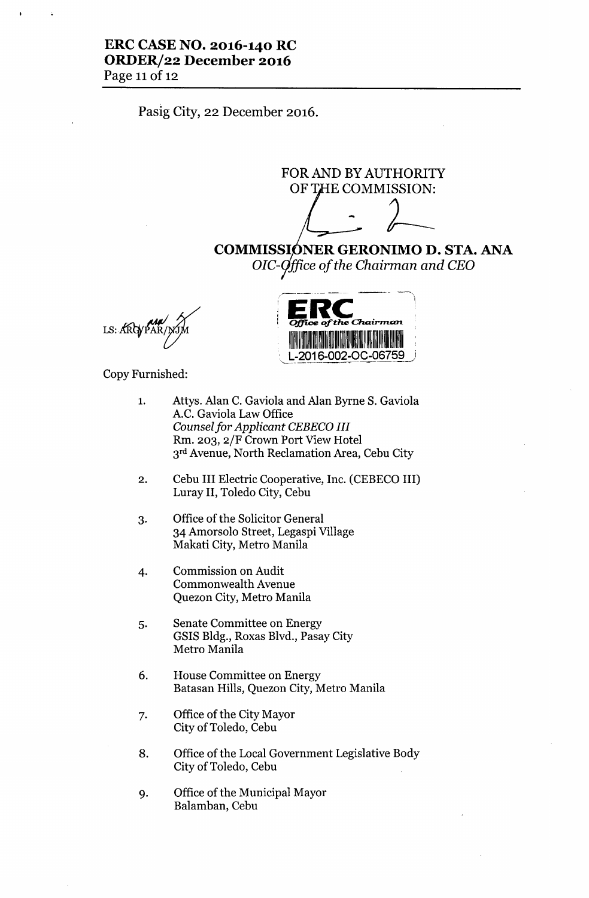#### **ERC CASE NO. 2016-140 RC ORDER/22 December 2016** Page 11 of 12

Pasig City, 22 December 2016.

FOR AND BY AUTHORITY OF THE COMMISSION THORTI<br>ISSION:<br>/<br>JIMO P

**COMMISSI NER GERONIMO D. STA. ANA** *OIC- iffiee of the Chairman and CEO*

LS: ARGYPA



Copy Furnished:

- 1. Attys. Alan c. Gaviola and Alan Byrne S. Gaviola A.C. Gaviola Law Office *Counselfor Applicant CEBECO III* Rm. 203, 2/F Crown Port View Hotel 3rd Avenue, North Reclamation Area, Cebu City
- 2. Cebu III Electric Cooperative, Inc. (CEBECO III) Luray II, Toledo City, Cebu
- 3. Office of the Solicitor General 34 Amorsolo Street, Legaspi Village Makati City, Metro Manila
- 4. Commission on Audit Commonwealth Avenue Quezon City, Metro Manila
- 5. Senate Committee on Energy GSIS Bldg., Roxas Blvd., Pasay City Metro Manila
- 6. House Committee on Energy Batasan Hills, Quezon City, Metro Manila
- 7. Office of the City Mayor City of Toledo, Cebu
- 8. Office of the Local Government Legislative Body City of Toledo, Cebu
- 9. Office of the Municipal Mayor Balamban, Cebu